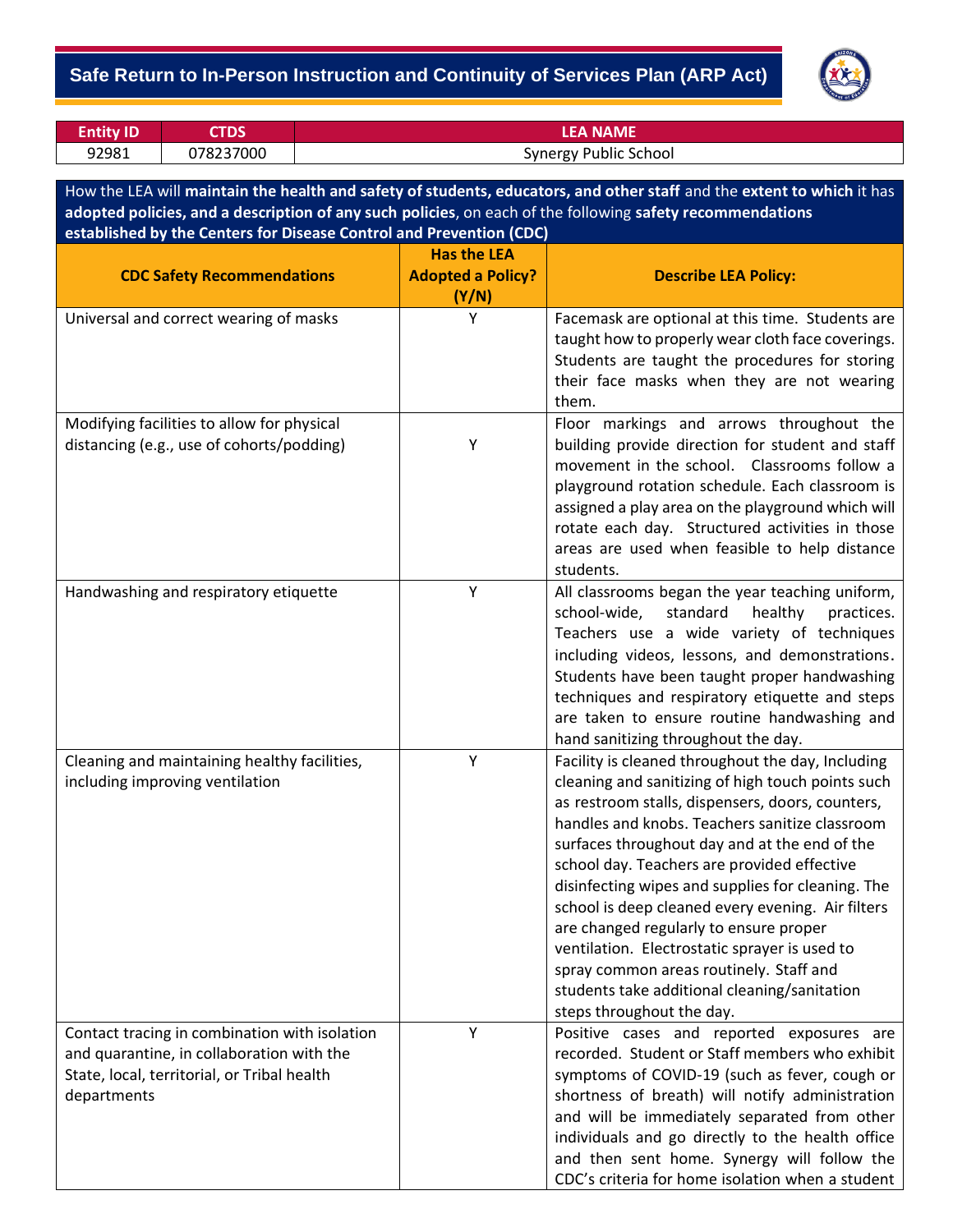## **Safe Return to In-Person Instruction and Continuity of Services Plan (ARP Act)**



| <b>Entity ID</b> | ЮS        | <b>LEA NAME</b>              |
|------------------|-----------|------------------------------|
| 92981            | 078237000 | <b>Synergy Public School</b> |

How the LEA will **maintain the health and safety of students, educators, and other staff** and the **extent to which** it has **adopted policies, and a description of any such policies**, on each of the following **safety recommendations established by the Centers for Disease Control and Prevention (CDC)**

|                                                                                                                                                          | <b>Has the LEA</b>                |                                                                                                                                                                                                                                                                                                                                                                                                                                                                                                                                                                                                                                           |
|----------------------------------------------------------------------------------------------------------------------------------------------------------|-----------------------------------|-------------------------------------------------------------------------------------------------------------------------------------------------------------------------------------------------------------------------------------------------------------------------------------------------------------------------------------------------------------------------------------------------------------------------------------------------------------------------------------------------------------------------------------------------------------------------------------------------------------------------------------------|
| <b>CDC Safety Recommendations</b>                                                                                                                        | <b>Adopted a Policy?</b><br>(Y/N) | <b>Describe LEA Policy:</b>                                                                                                                                                                                                                                                                                                                                                                                                                                                                                                                                                                                                               |
| Universal and correct wearing of masks                                                                                                                   | Y                                 | Facemask are optional at this time. Students are<br>taught how to properly wear cloth face coverings.<br>Students are taught the procedures for storing<br>their face masks when they are not wearing<br>them.                                                                                                                                                                                                                                                                                                                                                                                                                            |
| Modifying facilities to allow for physical<br>distancing (e.g., use of cohorts/podding)                                                                  | Υ                                 | Floor markings and arrows throughout the<br>building provide direction for student and staff<br>movement in the school. Classrooms follow a<br>playground rotation schedule. Each classroom is<br>assigned a play area on the playground which will<br>rotate each day. Structured activities in those<br>areas are used when feasible to help distance<br>students.                                                                                                                                                                                                                                                                      |
| Handwashing and respiratory etiquette                                                                                                                    | Y                                 | All classrooms began the year teaching uniform,<br>school-wide,<br>standard<br>healthy<br>practices.<br>Teachers use a wide variety of techniques<br>including videos, lessons, and demonstrations.<br>Students have been taught proper handwashing<br>techniques and respiratory etiquette and steps<br>are taken to ensure routine handwashing and<br>hand sanitizing throughout the day.                                                                                                                                                                                                                                               |
| Cleaning and maintaining healthy facilities,<br>including improving ventilation                                                                          | Y                                 | Facility is cleaned throughout the day, Including<br>cleaning and sanitizing of high touch points such<br>as restroom stalls, dispensers, doors, counters,<br>handles and knobs. Teachers sanitize classroom<br>surfaces throughout day and at the end of the<br>school day. Teachers are provided effective<br>disinfecting wipes and supplies for cleaning. The<br>school is deep cleaned every evening. Air filters<br>are changed regularly to ensure proper<br>ventilation. Electrostatic sprayer is used to<br>spray common areas routinely. Staff and<br>students take additional cleaning/sanitation<br>steps throughout the day. |
| Contact tracing in combination with isolation<br>and quarantine, in collaboration with the<br>State, local, territorial, or Tribal health<br>departments | Υ                                 | Positive cases and reported exposures are<br>recorded. Student or Staff members who exhibit<br>symptoms of COVID-19 (such as fever, cough or<br>shortness of breath) will notify administration<br>and will be immediately separated from other<br>individuals and go directly to the health office<br>and then sent home. Synergy will follow the<br>CDC's criteria for home isolation when a student                                                                                                                                                                                                                                    |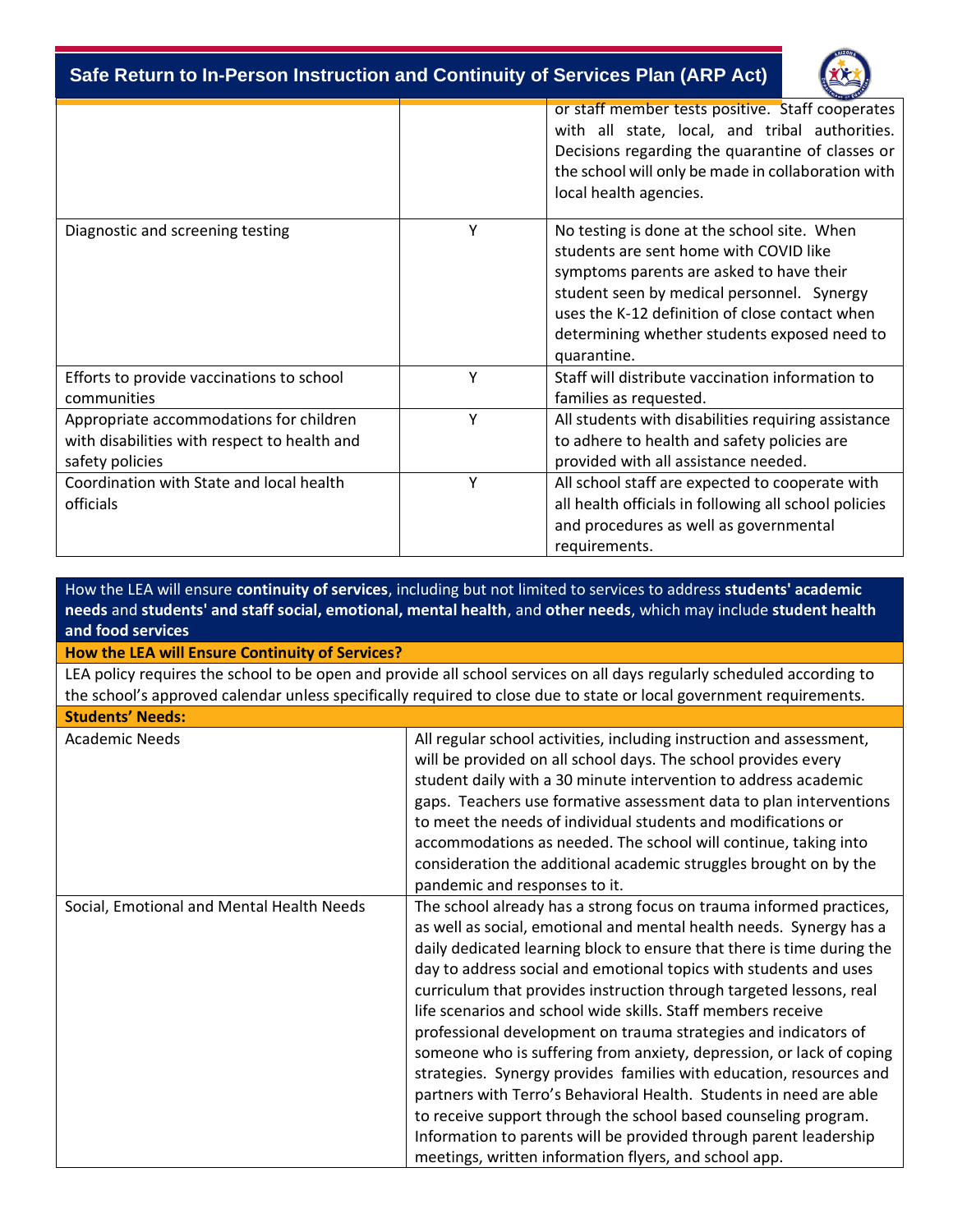**Safe Return to In-Person Instruction and Continuity of Services Plan (ARP Act)**



|                                                                                                            |   | or staff member tests positive. Staff cooperates<br>with all state, local, and tribal authorities.<br>Decisions regarding the quarantine of classes or<br>the school will only be made in collaboration with<br>local health agencies.                                                           |
|------------------------------------------------------------------------------------------------------------|---|--------------------------------------------------------------------------------------------------------------------------------------------------------------------------------------------------------------------------------------------------------------------------------------------------|
| Diagnostic and screening testing                                                                           | Y | No testing is done at the school site. When<br>students are sent home with COVID like<br>symptoms parents are asked to have their<br>student seen by medical personnel. Synergy<br>uses the K-12 definition of close contact when<br>determining whether students exposed need to<br>quarantine. |
| Efforts to provide vaccinations to school<br>communities                                                   | Y | Staff will distribute vaccination information to<br>families as requested.                                                                                                                                                                                                                       |
| Appropriate accommodations for children<br>with disabilities with respect to health and<br>safety policies | Y | All students with disabilities requiring assistance<br>to adhere to health and safety policies are<br>provided with all assistance needed.                                                                                                                                                       |
| Coordination with State and local health<br>officials                                                      | Y | All school staff are expected to cooperate with<br>all health officials in following all school policies<br>and procedures as well as governmental<br>requirements.                                                                                                                              |

How the LEA will ensure **continuity of services**, including but not limited to services to address **students' academic needs** and **students' and staff social, emotional, mental health**, and **other needs**, which may include **student health and food services**

**How the LEA will Ensure Continuity of Services?**

LEA policy requires the school to be open and provide all school services on all days regularly scheduled according to the school's approved calendar unless specifically required to close due to state or local government requirements.

| <b>Students' Needs:</b>                   |                                                                                                                                                                                                                                                                                                                                                                                                                                                                                                                                                                                                                                                                                                                                                                                                                                                                                                                           |
|-------------------------------------------|---------------------------------------------------------------------------------------------------------------------------------------------------------------------------------------------------------------------------------------------------------------------------------------------------------------------------------------------------------------------------------------------------------------------------------------------------------------------------------------------------------------------------------------------------------------------------------------------------------------------------------------------------------------------------------------------------------------------------------------------------------------------------------------------------------------------------------------------------------------------------------------------------------------------------|
| <b>Academic Needs</b>                     | All regular school activities, including instruction and assessment,<br>will be provided on all school days. The school provides every<br>student daily with a 30 minute intervention to address academic<br>gaps. Teachers use formative assessment data to plan interventions<br>to meet the needs of individual students and modifications or<br>accommodations as needed. The school will continue, taking into<br>consideration the additional academic struggles brought on by the<br>pandemic and responses to it.                                                                                                                                                                                                                                                                                                                                                                                                 |
| Social, Emotional and Mental Health Needs | The school already has a strong focus on trauma informed practices,<br>as well as social, emotional and mental health needs. Synergy has a<br>daily dedicated learning block to ensure that there is time during the<br>day to address social and emotional topics with students and uses<br>curriculum that provides instruction through targeted lessons, real<br>life scenarios and school wide skills. Staff members receive<br>professional development on trauma strategies and indicators of<br>someone who is suffering from anxiety, depression, or lack of coping<br>strategies. Synergy provides families with education, resources and<br>partners with Terro's Behavioral Health. Students in need are able<br>to receive support through the school based counseling program.<br>Information to parents will be provided through parent leadership<br>meetings, written information flyers, and school app. |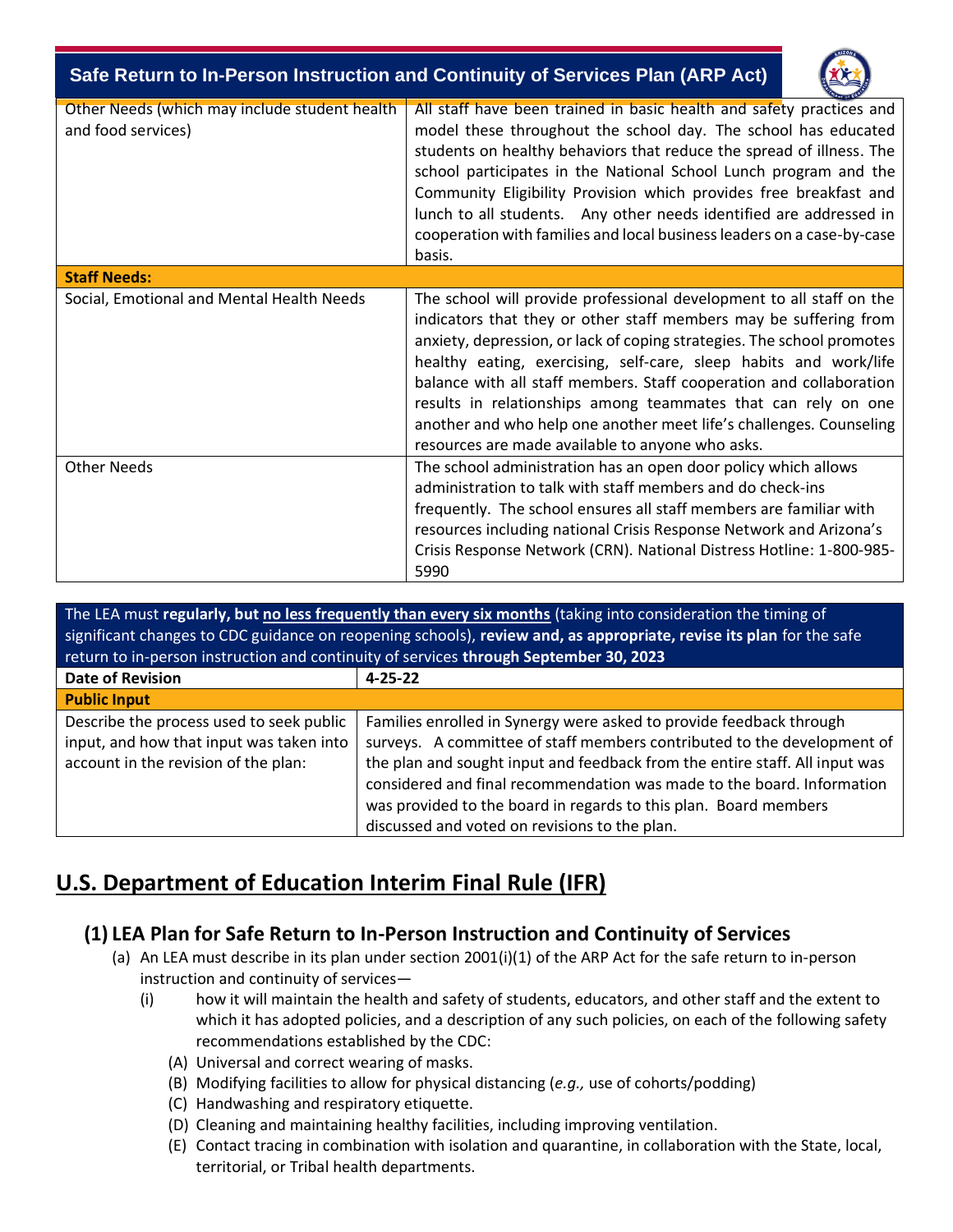| Safe Return to In-Person Instruction and Continuity of Services Plan (ARP Act) |                                                                                                                                                                                                                                                                                                                                                                                                                                                                                                                                                             |  |  |  |  |
|--------------------------------------------------------------------------------|-------------------------------------------------------------------------------------------------------------------------------------------------------------------------------------------------------------------------------------------------------------------------------------------------------------------------------------------------------------------------------------------------------------------------------------------------------------------------------------------------------------------------------------------------------------|--|--|--|--|
| Other Needs (which may include student health<br>and food services)            | All staff have been trained in basic health and safety practices and<br>model these throughout the school day. The school has educated<br>students on healthy behaviors that reduce the spread of illness. The<br>school participates in the National School Lunch program and the<br>Community Eligibility Provision which provides free breakfast and<br>lunch to all students. Any other needs identified are addressed in<br>cooperation with families and local business leaders on a case-by-case<br>basis.                                           |  |  |  |  |
| <b>Staff Needs:</b>                                                            |                                                                                                                                                                                                                                                                                                                                                                                                                                                                                                                                                             |  |  |  |  |
| Social, Emotional and Mental Health Needs                                      | The school will provide professional development to all staff on the<br>indicators that they or other staff members may be suffering from<br>anxiety, depression, or lack of coping strategies. The school promotes<br>healthy eating, exercising, self-care, sleep habits and work/life<br>balance with all staff members. Staff cooperation and collaboration<br>results in relationships among teammates that can rely on one<br>another and who help one another meet life's challenges. Counseling<br>resources are made available to anyone who asks. |  |  |  |  |
| <b>Other Needs</b>                                                             | The school administration has an open door policy which allows<br>administration to talk with staff members and do check-ins<br>frequently. The school ensures all staff members are familiar with<br>resources including national Crisis Response Network and Arizona's<br>Crisis Response Network (CRN). National Distress Hotline: 1-800-985-<br>5990                                                                                                                                                                                                    |  |  |  |  |

The LEA must **regularly, but no less frequently than every six months** (taking into consideration the timing of significant changes to CDC guidance on reopening schools), **review and, as appropriate, revise its plan** for the safe return to in-person instruction and continuity of services **through September 30, 2023**

| <b>Date of Revision</b>                  | $4 - 25 - 22$                                                               |
|------------------------------------------|-----------------------------------------------------------------------------|
| <b>Public Input</b>                      |                                                                             |
| Describe the process used to seek public | Families enrolled in Synergy were asked to provide feedback through         |
| input, and how that input was taken into | surveys. A committee of staff members contributed to the development of     |
| account in the revision of the plan:     | the plan and sought input and feedback from the entire staff. All input was |
|                                          | considered and final recommendation was made to the board. Information      |
|                                          | was provided to the board in regards to this plan. Board members            |
|                                          | discussed and voted on revisions to the plan.                               |

## **U.S. Department of Education Interim Final Rule (IFR)**

## **(1) LEA Plan for Safe Return to In-Person Instruction and Continuity of Services**

- (a) An LEA must describe in its plan under section 2001(i)(1) of the ARP Act for the safe return to in-person instruction and continuity of services—
	- (i) how it will maintain the health and safety of students, educators, and other staff and the extent to which it has adopted policies, and a description of any such policies, on each of the following safety recommendations established by the CDC:
		- (A) Universal and correct wearing of masks.
		- (B) Modifying facilities to allow for physical distancing (*e.g.,* use of cohorts/podding)
		- (C) Handwashing and respiratory etiquette.
		- (D) Cleaning and maintaining healthy facilities, including improving ventilation.
		- (E) Contact tracing in combination with isolation and quarantine, in collaboration with the State, local, territorial, or Tribal health departments.